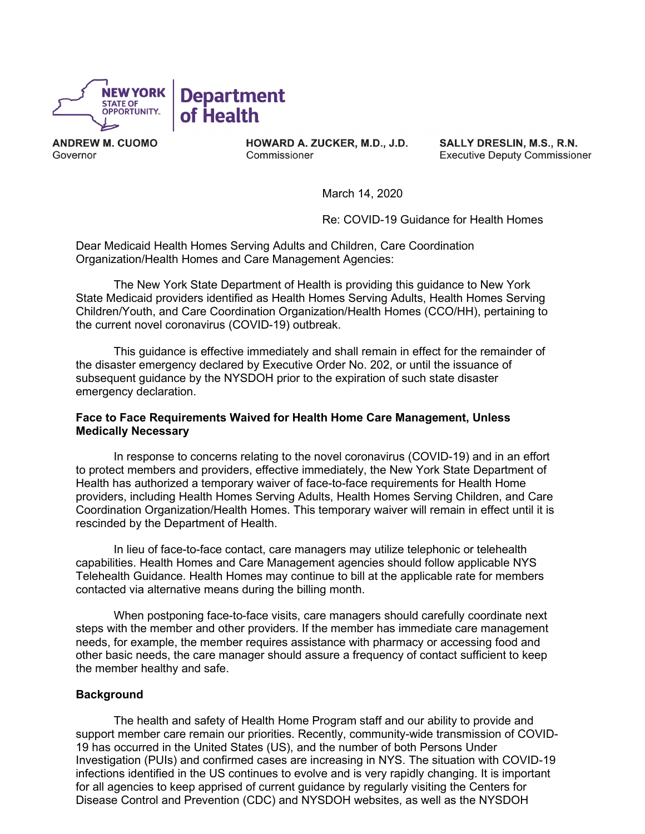

ANDREW M. CUOMO Governor

HOWARD A. ZUCKER, M.D., J.D. Commissioner

SALLY DRESLIN, M.S., R.N. Executive Deputy Commissioner

March 14, 2020

Re: COVID-19 Guidance for Health Homes

Dear Medicaid Health Homes Serving Adults and Children, Care Coordination Organization/Health Homes and Care Management Agencies:

The New York State Department of Health is providing this guidance to New York State Medicaid providers identified as Health Homes Serving Adults, Health Homes Serving Children/Youth, and Care Coordination Organization/Health Homes (CCO/HH), pertaining to the current novel coronavirus (COVID-19) outbreak.

 the disaster emergency declared by Executive Order No. 202, or until the issuance of This guidance is effective immediately and shall remain in effect for the remainder of subsequent guidance by the NYSDOH prior to the expiration of such state disaster emergency declaration.

### **Face to Face Requirements Waived for Health Home Care Management, Unless Medically Necessary**

In response to concerns relating to the novel coronavirus (COVID-19) and in an effort to protect members and providers, effective immediately, the New York State Department of Health has authorized a temporary waiver of face-to-face requirements for Health Home providers, including Health Homes Serving Adults, Health Homes Serving Children, and Care Coordination Organization/Health Homes. This temporary waiver will remain in effect until it is rescinded by the Department of Health.

 Telehealth Guidance. Health Homes may continue to bill at the applicable rate for members In lieu of face-to-face contact, care managers may utilize telephonic or telehealth capabilities. Health Homes and Care Management agencies should follow applicable NYS contacted via alternative means during the billing month.

 steps with the member and other providers. If the member has immediate care management other basic needs, the care manager should assure a frequency of contact sufficient to keep When postponing face-to-face visits, care managers should carefully coordinate next needs, for example, the member requires assistance with pharmacy or accessing food and the member healthy and safe.

### **Background**

 for all agencies to keep apprised of current guidance by regularly visiting the Centers for The health and safety of Health Home Program staff and our ability to provide and support member care remain our priorities. Recently, community-wide transmission of COVID-19 has occurred in the United States (US), and the number of both Persons Under Investigation (PUIs) and confirmed cases are increasing in NYS. The situation with COVID-19 infections identified in the US continues to evolve and is very rapidly changing. It is important Disease Control and Prevention (CDC) and NYSDOH websites, as well as the NYSDOH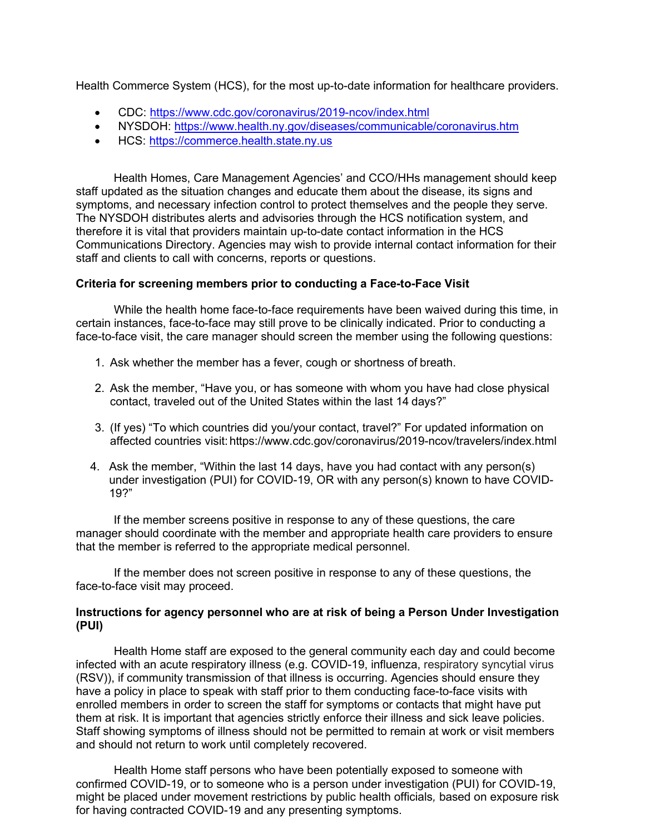Health Commerce System (HCS), for the most up-to-date information for healthcare providers.

- CDC:<https://www.cdc.gov/coronavirus/2019-ncov/index.html>
- NYSDOH: https://www.health.ny.gov/diseases/communicable/coronavirus.htm
- HCS: https://commerce.health.state.ny.us

 symptoms, and necessary infection control to protect themselves and the people they serve. Health Homes, Care Management Agencies' and CCO/HHs management should keep staff updated as the situation changes and educate them about the disease, its signs and The NYSDOH distributes alerts and advisories through the HCS notification system, and therefore it is vital that providers maintain up-to-date contact information in the HCS Communications Directory. Agencies may wish to provide internal contact information for their staff and clients to call with concerns, reports or questions.

# **Criteria for screening members prior to conducting a Face-to-Face Visit**

While the health home face-to-face requirements have been waived during this time, in certain instances, face-to-face may still prove to be clinically indicated. Prior to conducting a face-to-face visit, the care manager should screen the member using the following questions:

- 1. Ask whether the member has a fever, cough or shortness of breath.
- contact, traveled out of the United States within the last 14 days?" 2. Ask the member, "Have you, or has someone with whom you have had close physical
- 3. (If yes) "To which countries did you/your contact, travel?" For updated information on affected countries visit[: https://www.cdc.gov/coronavirus/2019-ncov/travelers/index.html](https://www.cdc.gov/coronavirus/2019-ncov/travelers/index.html)
- 4. Ask the member, "Within the last 14 days, have you had contact with any person(s) under investigation (PUI) for COVID-19, OR with any person(s) known to have COVID-19?"

 manager should coordinate with the member and appropriate health care providers to ensure If the member screens positive in response to any of these questions, the care that the member is referred to the appropriate medical personnel.

If the member does not screen positive in response to any of these questions, the face-to-face visit may proceed.

# **Instructions for agency personnel who are at risk of being a Person Under Investigation (PUI)**

 infected with an acute respiratory illness (e.g. COVID-19, influenza, respiratory syncytial virus enrolled members in order to screen the staff for symptoms or contacts that might have put Staff showing symptoms of illness should not be permitted to remain at work or visit members Health Home staff are exposed to the general community each day and could become (RSV)), if community transmission of that illness is occurring. Agencies should ensure they have a policy in place to speak with staff prior to them conducting face-to-face visits with them at risk. It is important that agencies strictly enforce their illness and sick leave policies. and should not return to work until completely recovered.

Health Home staff persons who have been potentially exposed to someone with confirmed COVID-19, or to someone who is a person under investigation (PUI) for COVID-19, might be placed under movement restrictions by public health officials*,* based on exposure risk for having contracted COVID-19 and any presenting symptoms.